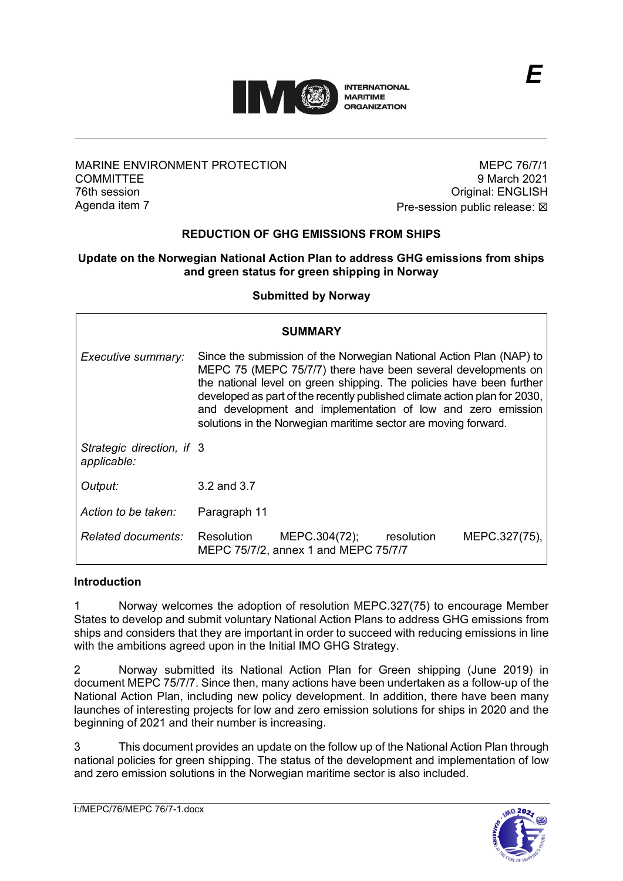

## MARINE ENVIRONMENT PROTECTION **COMMITTEE** 76th session Agenda item 7

MEPC 76/7/1 9 March 2021 Original: ENGLISH Pre-session public release:  $\boxtimes$ 

*E*

# **REDUCTION OF GHG EMISSIONS FROM SHIPS**

### **Update on the Norwegian National Action Plan to address GHG emissions from ships and green status for green shipping in Norway**

#### **Submitted by Norway**

| <b>SUMMARY</b>                           |                                                                                                                                                                                                                                                                                                                                                                                                                            |
|------------------------------------------|----------------------------------------------------------------------------------------------------------------------------------------------------------------------------------------------------------------------------------------------------------------------------------------------------------------------------------------------------------------------------------------------------------------------------|
| Executive summary:                       | Since the submission of the Norwegian National Action Plan (NAP) to<br>MEPC 75 (MEPC 75/7/7) there have been several developments on<br>the national level on green shipping. The policies have been further<br>developed as part of the recently published climate action plan for 2030,<br>and development and implementation of low and zero emission<br>solutions in the Norwegian maritime sector are moving forward. |
| Strategic direction, if 3<br>applicable: |                                                                                                                                                                                                                                                                                                                                                                                                                            |
| Output:                                  | 3.2 and 3.7                                                                                                                                                                                                                                                                                                                                                                                                                |
| Action to be taken:                      | Paragraph 11                                                                                                                                                                                                                                                                                                                                                                                                               |
| <i>Related documents:</i>                | MEPC.304(72);<br>Resolution<br>resolution<br>MEPC.327(75),<br>MEPC 75/7/2, annex 1 and MEPC 75/7/7                                                                                                                                                                                                                                                                                                                         |

#### **Introduction**

1 Norway welcomes the adoption of resolution MEPC.327(75) to encourage Member States to develop and submit voluntary National Action Plans to address GHG emissions from ships and considers that they are important in order to succeed with reducing emissions in line with the ambitions agreed upon in the Initial IMO GHG Strategy.

2 Norway submitted its National Action Plan for Green shipping (June 2019) in document MEPC 75/7/7. Since then, many actions have been undertaken as a follow-up of the National Action Plan, including new policy development. In addition, there have been many launches of interesting projects for low and zero emission solutions for ships in 2020 and the beginning of 2021 and their number is increasing.

3 This document provides an update on the follow up of the National Action Plan through national policies for green shipping. The status of the development and implementation of low and zero emission solutions in the Norwegian maritime sector is also included.

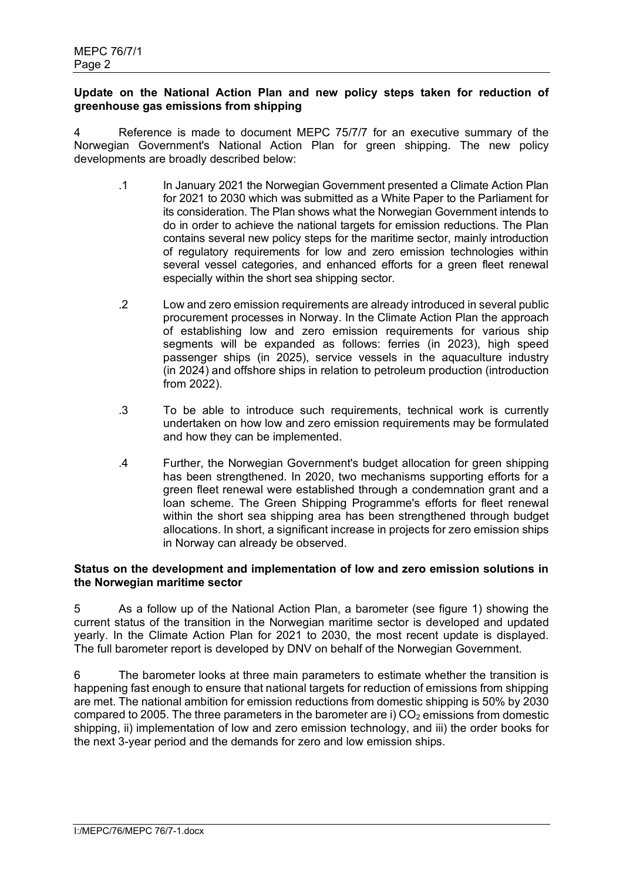## **Update on the National Action Plan and new policy steps taken for reduction of greenhouse gas emissions from shipping**

4 Reference is made to document MEPC 75/7/7 for an executive summary of the Norwegian Government's National Action Plan for green shipping. The new policy developments are broadly described below:

- .1 In January 2021 the Norwegian Government presented a Climate Action Plan for 2021 to 2030 which was submitted as a White Paper to the Parliament for its consideration. The Plan shows what the Norwegian Government intends to do in order to achieve the national targets for emission reductions. The Plan contains several new policy steps for the maritime sector, mainly introduction of regulatory requirements for low and zero emission technologies within several vessel categories, and enhanced efforts for a green fleet renewal especially within the short sea shipping sector.
- .2 Low and zero emission requirements are already introduced in several public procurement processes in Norway. In the Climate Action Plan the approach of establishing low and zero emission requirements for various ship segments will be expanded as follows: ferries (in 2023), high speed passenger ships (in 2025), service vessels in the aquaculture industry (in 2024) and offshore ships in relation to petroleum production (introduction from 2022).
- .3 To be able to introduce such requirements, technical work is currently undertaken on how low and zero emission requirements may be formulated and how they can be implemented.
- .4 Further, the Norwegian Government's budget allocation for green shipping has been strengthened. In 2020, two mechanisms supporting efforts for a green fleet renewal were established through a condemnation grant and a loan scheme. The Green Shipping Programme's efforts for fleet renewal within the short sea shipping area has been strengthened through budget allocations. In short, a significant increase in projects for zero emission ships in Norway can already be observed.

### **Status on the development and implementation of low and zero emission solutions in the Norwegian maritime sector**

5 As a follow up of the National Action Plan, a barometer (see figure 1) showing the current status of the transition in the Norwegian maritime sector is developed and updated yearly. In the Climate Action Plan for 2021 to 2030, the most recent update is displayed. The full barometer report is developed by DNV on behalf of the Norwegian Government.

6 The barometer looks at three main parameters to estimate whether the transition is happening fast enough to ensure that national targets for reduction of emissions from shipping are met. The national ambition for emission reductions from domestic shipping is 50% by 2030 compared to 2005. The three parameters in the barometer are i)  $CO<sub>2</sub>$  emissions from domestic shipping, ii) implementation of low and zero emission technology, and iii) the order books for the next 3-year period and the demands for zero and low emission ships.